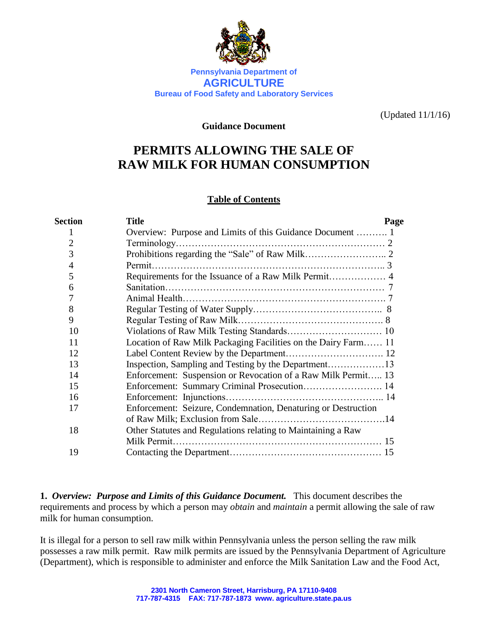

**Bureau of Food Safety and Laboratory Services**

(Updated 11/1/16)

#### **Guidance Document**

# **PERMITS ALLOWING THE SALE OF RAW MILK FOR HUMAN CONSUMPTION**

## **Table of Contents**

| <b>Section</b> | <b>Title</b>                                                   | Page |
|----------------|----------------------------------------------------------------|------|
|                |                                                                |      |
| 2              |                                                                |      |
| 3              |                                                                |      |
| $\overline{4}$ |                                                                |      |
| 5              |                                                                |      |
| 6              |                                                                |      |
|                |                                                                |      |
| 8              |                                                                |      |
| 9              |                                                                |      |
| 10             |                                                                |      |
| 11             | Location of Raw Milk Packaging Facilities on the Dairy Farm 11 |      |
| 12             |                                                                |      |
| 13             |                                                                |      |
| 14             | Enforcement: Suspension or Revocation of a Raw Milk Permit 13  |      |
| 15             |                                                                |      |
| 16             |                                                                |      |
| 17             | Enforcement: Seizure, Condemnation, Denaturing or Destruction  |      |
|                | of Raw Milk; Exclusion from Sale.                              |      |
| 18             | Other Statutes and Regulations relating to Maintaining a Raw   |      |
|                |                                                                |      |
| 19             |                                                                |      |

**1.** *Overview: Purpose and Limits of this Guidance Document.* This document describes the requirements and process by which a person may *obtain* and *maintain* a permit allowing the sale of raw milk for human consumption.

It is illegal for a person to sell raw milk within Pennsylvania unless the person selling the raw milk possesses a raw milk permit. Raw milk permits are issued by the Pennsylvania Department of Agriculture (Department), which is responsible to administer and enforce the Milk Sanitation Law and the Food Act,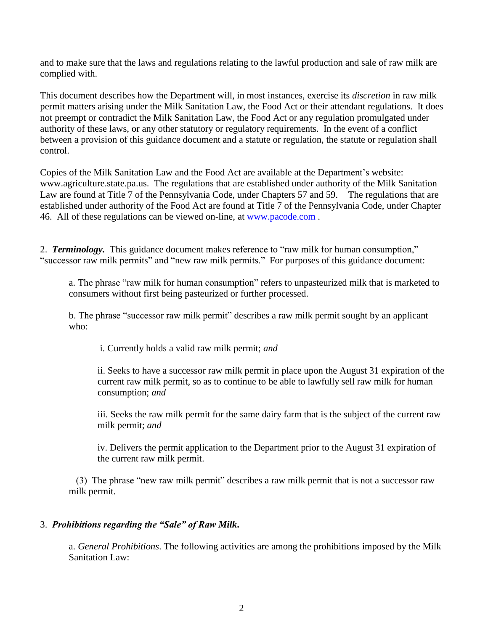and to make sure that the laws and regulations relating to the lawful production and sale of raw milk are complied with.

This document describes how the Department will, in most instances, exercise its *discretion* in raw milk permit matters arising under the Milk Sanitation Law, the Food Act or their attendant regulations. It does not preempt or contradict the Milk Sanitation Law, the Food Act or any regulation promulgated under authority of these laws, or any other statutory or regulatory requirements. In the event of a conflict between a provision of this guidance document and a statute or regulation, the statute or regulation shall control.

Copies of the Milk Sanitation Law and the Food Act are available at the Department's website[:](http://www.agriculture.state.pa.us/) [www.agriculture.state.pa.us.](http://www.agriculture.state.pa.us/) The regulations that are established under authority of the Milk Sanitation Law are found at Title 7 of the Pennsylvania Code, under Chapters 57 and 59. The regulations that are established under authority of the Food Act are found at Title 7 of the Pennsylvania Code, under Chapter 46. All of these regulations can be viewed on-line, at [www.pacode.com](http://www.pacode.com/) .

2. *Terminology.* This guidance document makes reference to "raw milk for human consumption," "successor raw milk permits" and "new raw milk permits." For purposes of this guidance document:

a. The phrase "raw milk for human consumption" refers to unpasteurized milk that is marketed to consumers without first being pasteurized or further processed.

b. The phrase "successor raw milk permit" describes a raw milk permit sought by an applicant who:

i. Currently holds a valid raw milk permit; *and*

ii. Seeks to have a successor raw milk permit in place upon the August 31 expiration of the current raw milk permit, so as to continue to be able to lawfully sell raw milk for human consumption; *and*

iii. Seeks the raw milk permit for the same dairy farm that is the subject of the current raw milk permit; *and*

iv. Delivers the permit application to the Department prior to the August 31 expiration of the current raw milk permit.

(3) The phrase "new raw milk permit" describes a raw milk permit that is not a successor raw milk permit.

## 3. *Prohibitions regarding the "Sale" of Raw Milk***.**

a. *General Prohibitions*. The following activities are among the prohibitions imposed by the Milk Sanitation Law: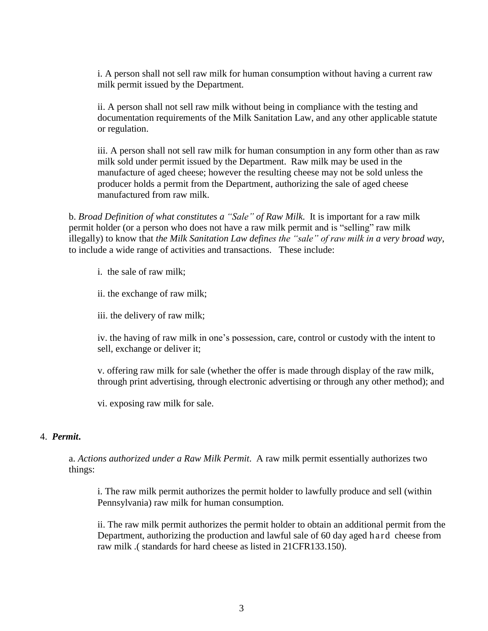i. A person shall not sell raw milk for human consumption without having a current raw milk permit issued by the Department.

ii. A person shall not sell raw milk without being in compliance with the testing and documentation requirements of the Milk Sanitation Law, and any other applicable statute or regulation.

iii. A person shall not sell raw milk for human consumption in any form other than as raw milk sold under permit issued by the Department. Raw milk may be used in the manufacture of aged cheese; however the resulting cheese may not be sold unless the producer holds a permit from the Department, authorizing the sale of aged cheese manufactured from raw milk.

b. *Broad Definition of what constitutes a "Sale" of Raw Milk*. It is important for a raw milk permit holder (or a person who does not have a raw milk permit and is "selling" raw milk illegally) to know that *the Milk Sanitation Law defines the "sale" of raw milk in a very broad way*, to include a wide range of activities and transactions. These include:

i. the sale of raw milk;

ii. the exchange of raw milk;

iii. the delivery of raw milk;

iv. the having of raw milk in one's possession, care, control or custody with the intent to sell, exchange or deliver it;

v. offering raw milk for sale (whether the offer is made through display of the raw milk, through print advertising, through electronic advertising or through any other method); and

vi. exposing raw milk for sale.

#### 4. *Permit***.**

a. *Actions authorized under a Raw Milk Permit*. A raw milk permit essentially authorizes two things:

i. The raw milk permit authorizes the permit holder to lawfully produce and sell (within Pennsylvania) raw milk for human consumption.

ii. The raw milk permit authorizes the permit holder to obtain an additional permit from the Department, authorizing the production and lawful sale of 60 day aged h ar d cheese from raw milk .( standards for hard cheese as listed in 21CFR133.150).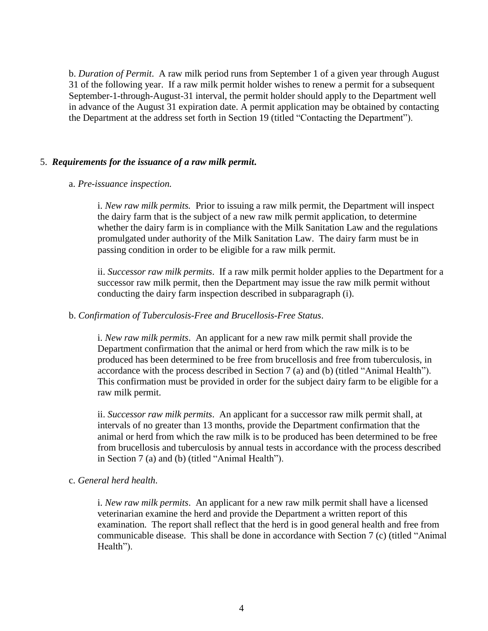b. *Duration of Permit*. A raw milk period runs from September 1 of a given year through August 31 of the following year. If a raw milk permit holder wishes to renew a permit for a subsequent September-1-through-August-31 interval, the permit holder should apply to the Department well in advance of the August 31 expiration date. A permit application may be obtained by contacting the Department at the address set forth in Section 19 (titled "Contacting the Department").

#### 5. *Requirements for the issuance of a raw milk permit***.**

#### a. *Pre-issuance inspection.*

i. *New raw milk permits.* Prior to issuing a raw milk permit, the Department will inspect the dairy farm that is the subject of a new raw milk permit application, to determine whether the dairy farm is in compliance with the Milk Sanitation Law and the regulations promulgated under authority of the Milk Sanitation Law. The dairy farm must be in passing condition in order to be eligible for a raw milk permit.

ii. *Successor raw milk permits*. If a raw milk permit holder applies to the Department for a successor raw milk permit, then the Department may issue the raw milk permit without conducting the dairy farm inspection described in subparagraph (i).

#### b. *Confirmation of Tuberculosis-Free and Brucellosis-Free Status*.

i. *New raw milk permits*. An applicant for a new raw milk permit shall provide the Department confirmation that the animal or herd from which the raw milk is to be produced has been determined to be free from brucellosis and free from tuberculosis, in accordance with the process described in Section 7 (a) and (b) (titled "Animal Health"). This confirmation must be provided in order for the subject dairy farm to be eligible for a raw milk permit.

ii. *Successor raw milk permits*. An applicant for a successor raw milk permit shall, at intervals of no greater than 13 months, provide the Department confirmation that the animal or herd from which the raw milk is to be produced has been determined to be free from brucellosis and tuberculosis by annual tests in accordance with the process described in Section 7 (a) and (b) (titled "Animal Health").

#### c. *General herd health*.

i. *New raw milk permits*. An applicant for a new raw milk permit shall have a licensed veterinarian examine the herd and provide the Department a written report of this examination. The report shall reflect that the herd is in good general health and free from communicable disease. This shall be done in accordance with Section 7 (c) (titled "Animal Health").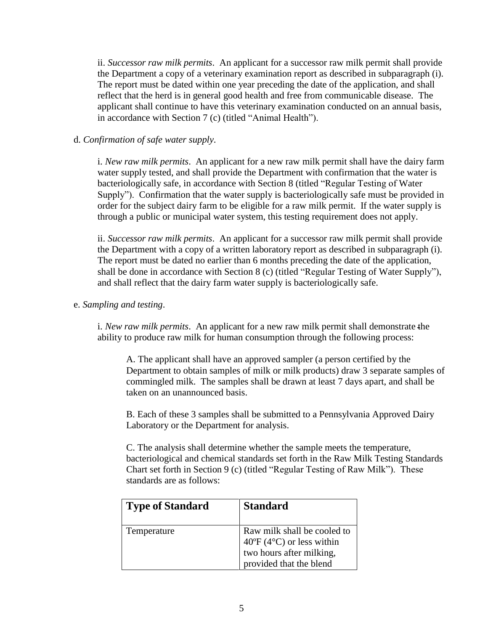ii. *Successor raw milk permits*. An applicant for a successor raw milk permit shall provide the Department a copy of a veterinary examination report as described in subparagraph (i). The report must be dated within one year preceding the date of the application, and shall reflect that the herd is in general good health and free from communicable disease. The applicant shall continue to have this veterinary examination conducted on an annual basis, in accordance with Section 7 (c) (titled "Animal Health").

## d. *Confirmation of safe water supply*.

i. *New raw milk permits*. An applicant for a new raw milk permit shall have the dairy farm water supply tested, and shall provide the Department with confirmation that the water is bacteriologically safe, in accordance with Section 8 (titled "Regular Testing of Water Supply"). Confirmation that the water supply is bacteriologically safe must be provided in order for the subject dairy farm to be eligible for a raw milk permit. If the water supply is through a public or municipal water system, this testing requirement does not apply.

ii. *Successor raw milk permits*. An applicant for a successor raw milk permit shall provide the Department with a copy of a written laboratory report as described in subparagraph (i). The report must be dated no earlier than 6 months preceding the date of the application, shall be done in accordance with Section 8 (c) (titled "Regular Testing of Water Supply"), and shall reflect that the dairy farm water supply is bacteriologically safe.

## e. *Sampling and testing*.

i. *New raw milk permits*. An applicant for a new raw milk permit shall demonstrate the ability to produce raw milk for human consumption through the following process:

A. The applicant shall have an approved sampler (a person certified by the Department to obtain samples of milk or milk products) draw 3 separate samples of commingled milk. The samples shall be drawn at least 7 days apart, and shall be taken on an unannounced basis.

B. Each of these 3 samples shall be submitted to a Pennsylvania Approved Dairy Laboratory or the Department for analysis.

C. The analysis shall determine whether the sample meets the temperature, bacteriological and chemical standards set forth in the Raw Milk Testing Standards Chart set forth in Section 9 (c) (titled "Regular Testing of Raw Milk"). These standards are as follows:

| <b>Type of Standard</b> | <b>Standard</b>                                                                                                                |
|-------------------------|--------------------------------------------------------------------------------------------------------------------------------|
| Temperature             | Raw milk shall be cooled to<br>$40^{\circ}F(4^{\circ}C)$ or less within<br>two hours after milking,<br>provided that the blend |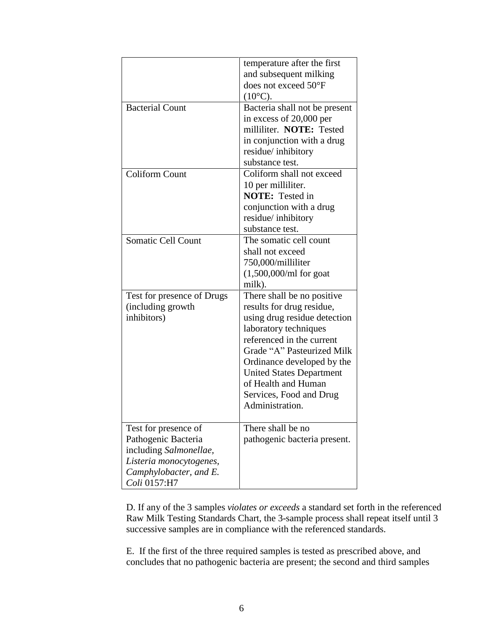| <b>Bacterial Count</b>                                                                                                                     | temperature after the first<br>and subsequent milking<br>does not exceed $50^{\circ}$ F<br>$(10^{\circ}C).$<br>Bacteria shall not be present                                                                                                                                                                      |
|--------------------------------------------------------------------------------------------------------------------------------------------|-------------------------------------------------------------------------------------------------------------------------------------------------------------------------------------------------------------------------------------------------------------------------------------------------------------------|
|                                                                                                                                            | in excess of 20,000 per<br>milliliter. NOTE: Tested<br>in conjunction with a drug<br>residue/inhibitory<br>substance test.                                                                                                                                                                                        |
| <b>Coliform Count</b>                                                                                                                      | Coliform shall not exceed<br>10 per milliliter.<br><b>NOTE:</b> Tested in<br>conjunction with a drug<br>residue/inhibitory<br>substance test.                                                                                                                                                                     |
| <b>Somatic Cell Count</b>                                                                                                                  | The somatic cell count<br>shall not exceed<br>750,000/milliliter<br>$(1,500,000/ml$ for goat<br>milk).                                                                                                                                                                                                            |
| Test for presence of Drugs<br>(including growth<br>inhibitors)                                                                             | There shall be no positive<br>results for drug residue,<br>using drug residue detection<br>laboratory techniques<br>referenced in the current<br>Grade "A" Pasteurized Milk<br>Ordinance developed by the<br><b>United States Department</b><br>of Health and Human<br>Services, Food and Drug<br>Administration. |
| Test for presence of<br>Pathogenic Bacteria<br>including Salmonellae,<br>Listeria monocytogenes,<br>Camphylobacter, and E.<br>Coli 0157:H7 | There shall be no<br>pathogenic bacteria present.                                                                                                                                                                                                                                                                 |

D. If any of the 3 samples *violates or exceeds* a standard set forth in the referenced Raw Milk Testing Standards Chart, the 3-sample process shall repeat itself until 3 successive samples are in compliance with the referenced standards.

E. If the first of the three required samples is tested as prescribed above, and concludes that no pathogenic bacteria are present; the second and third samples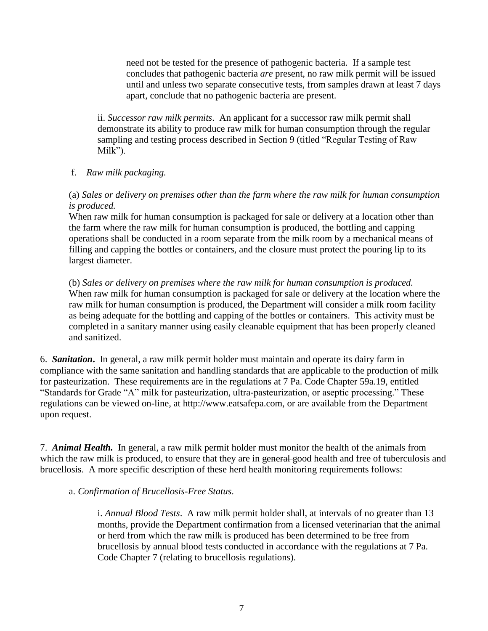need not be tested for the presence of pathogenic bacteria. If a sample test concludes that pathogenic bacteria *are* present, no raw milk permit will be issued until and unless two separate consecutive tests, from samples drawn at least 7 days apart, conclude that no pathogenic bacteria are present.

ii. *Successor raw milk permits*. An applicant for a successor raw milk permit shall demonstrate its ability to produce raw milk for human consumption through the regular sampling and testing process described in Section 9 (titled "Regular Testing of Raw Milk").

## f. *Raw milk packaging.*

## (a) *Sales or delivery on premises other than the farm where the raw milk for human consumption is produced.*

When raw milk for human consumption is packaged for sale or delivery at a location other than the farm where the raw milk for human consumption is produced, the bottling and capping operations shall be conducted in a room separate from the milk room by a mechanical means of filling and capping the bottles or containers, and the closure must protect the pouring lip to its largest diameter.

(b) *Sales or delivery on premises where the raw milk for human consumption is produced.* When raw milk for human consumption is packaged for sale or delivery at the location where the raw milk for human consumption is produced, the Department will consider a milk room facility as being adequate for the bottling and capping of the bottles or containers. This activity must be completed in a sanitary manner using easily cleanable equipment that has been properly cleaned and sanitized.

6. *Sanitation***.** In general, a raw milk permit holder must maintain and operate its dairy farm in compliance with the same sanitation and handling standards that are applicable to the production of milk for pasteurization. These requirements are in the regulations at 7 Pa. Code Chapter 59a.19, entitled "Standards for Grade "A" milk for pasteurization, ultra-pasteurization, or aseptic processing." These regulations can be viewed [on-line, at http://www.eatsafepa.com,](http://www.eatsafepa.com/) or are available from the Department upon request.

7. *Animal Health.* In general, a raw milk permit holder must monitor the health of the animals from which the raw milk is produced, to ensure that they are in general good health and free of tuberculosis and brucellosis. A more specific description of these herd health monitoring requirements follows:

#### a. *Confirmation of Brucellosis-Free Status*.

i. *Annual Blood Tests*. A raw milk permit holder shall, at intervals of no greater than 13 months, provide the Department confirmation from a licensed veterinarian that the animal or herd from which the raw milk is produced has been determined to be free from brucellosis by annual blood tests conducted in accordance with the regulations at 7 Pa. Code Chapter 7 (relating to brucellosis regulations).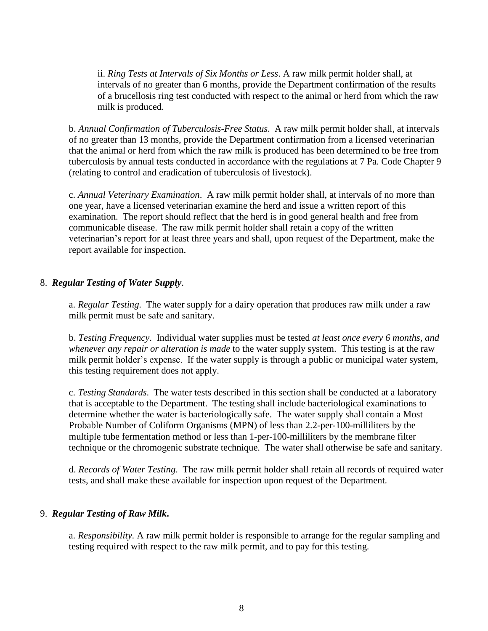ii. *Ring Tests at Intervals of Six Months or Less*. A raw milk permit holder shall, at intervals of no greater than 6 months, provide the Department confirmation of the results of a brucellosis ring test conducted with respect to the animal or herd from which the raw milk is produced.

b. *Annual Confirmation of Tuberculosis-Free Status*. A raw milk permit holder shall, at intervals of no greater than 13 months, provide the Department confirmation from a licensed veterinarian that the animal or herd from which the raw milk is produced has been determined to be free from tuberculosis by annual tests conducted in accordance with the regulations at 7 Pa. Code Chapter 9 (relating to control and eradication of tuberculosis of livestock).

c. *Annual Veterinary Examination*. A raw milk permit holder shall, at intervals of no more than one year, have a licensed veterinarian examine the herd and issue a written report of this examination. The report should reflect that the herd is in good general health and free from communicable disease. The raw milk permit holder shall retain a copy of the written veterinarian's report for at least three years and shall, upon request of the Department, make the report available for inspection.

## 8. *Regular Testing of Water Supply*.

a. *Regular Testing*. The water supply for a dairy operation that produces raw milk under a raw milk permit must be safe and sanitary.

b. *Testing Frequency*. Individual water supplies must be tested *at least once every 6 months, and whenever any repair or alteration is made* to the water supply system. This testing is at the raw milk permit holder's expense. If the water supply is through a public or municipal water system, this testing requirement does not apply.

c. *Testing Standards*. The water tests described in this section shall be conducted at a laboratory that is acceptable to the Department. The testing shall include bacteriological examinations to determine whether the water is bacteriologically safe. The water supply shall contain a Most Probable Number of Coliform Organisms (MPN) of less than 2.2-per-100-milliliters by the multiple tube fermentation method or less than 1-per-100-milliliters by the membrane filter technique or the chromogenic substrate technique. The water shall otherwise be safe and sanitary.

d. *Records of Water Testing*. The raw milk permit holder shall retain all records of required water tests, and shall make these available for inspection upon request of the Department.

## 9. *Regular Testing of Raw Milk***.**

a. *Responsibility.* A raw milk permit holder is responsible to arrange for the regular sampling and testing required with respect to the raw milk permit, and to pay for this testing.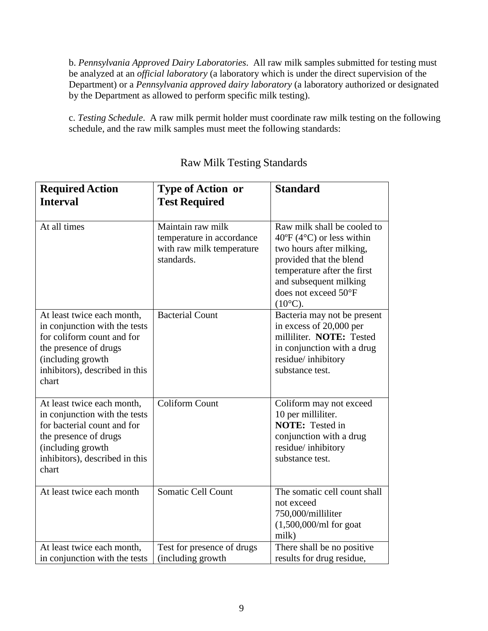b. *Pennsylvania Approved Dairy Laboratories*. All raw milk samples submitted for testing must be analyzed at an *official laboratory* (a laboratory which is under the direct supervision of the Department) or a *Pennsylvania approved dairy laboratory* (a laboratory authorized or designated by the Department as allowed to perform specific milk testing).

c. *Testing Schedule*. A raw milk permit holder must coordinate raw milk testing on the following schedule, and the raw milk samples must meet the following standards:

| <b>Required Action</b><br><b>Interval</b>                                                                                                                                           | <b>Type of Action or</b><br><b>Test Required</b>                                          | <b>Standard</b>                                                                                                                                                                                                                           |
|-------------------------------------------------------------------------------------------------------------------------------------------------------------------------------------|-------------------------------------------------------------------------------------------|-------------------------------------------------------------------------------------------------------------------------------------------------------------------------------------------------------------------------------------------|
| At all times                                                                                                                                                                        | Maintain raw milk<br>temperature in accordance<br>with raw milk temperature<br>standards. | Raw milk shall be cooled to<br>$40^{\circ}$ F (4 $^{\circ}$ C) or less within<br>two hours after milking,<br>provided that the blend<br>temperature after the first<br>and subsequent milking<br>does not exceed 50°F<br>$(10^{\circ}C).$ |
| At least twice each month,<br>in conjunction with the tests<br>for coliform count and for<br>the presence of drugs<br>(including growth<br>inhibitors), described in this<br>chart  | <b>Bacterial Count</b>                                                                    | Bacteria may not be present<br>in excess of 20,000 per<br>milliliter. NOTE: Tested<br>in conjunction with a drug<br>residue/inhibitory<br>substance test.                                                                                 |
| At least twice each month,<br>in conjunction with the tests<br>for bacterial count and for<br>the presence of drugs<br>(including growth<br>inhibitors), described in this<br>chart | <b>Coliform Count</b>                                                                     | Coliform may not exceed<br>10 per milliliter.<br><b>NOTE:</b> Tested in<br>conjunction with a drug<br>residue/inhibitory<br>substance test.                                                                                               |
| At least twice each month                                                                                                                                                           | Somatic Cell Count                                                                        | The somatic cell count shall<br>not exceed<br>750,000/milliliter<br>$(1,500,000/ml$ for goat<br>milk)                                                                                                                                     |
| At least twice each month,<br>in conjunction with the tests                                                                                                                         | Test for presence of drugs<br>(including growth                                           | There shall be no positive<br>results for drug residue,                                                                                                                                                                                   |

## Raw Milk Testing Standards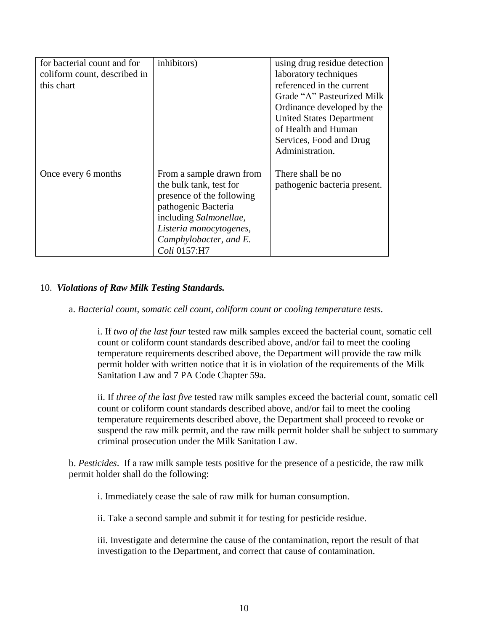| for bacterial count and for  | inhibitors)               | using drug residue detection    |
|------------------------------|---------------------------|---------------------------------|
| coliform count, described in |                           | laboratory techniques           |
| this chart                   |                           | referenced in the current       |
|                              |                           | Grade "A" Pasteurized Milk      |
|                              |                           | Ordinance developed by the      |
|                              |                           | <b>United States Department</b> |
|                              |                           | of Health and Human             |
|                              |                           | Services, Food and Drug         |
|                              |                           | Administration.                 |
|                              |                           |                                 |
| Once every 6 months          | From a sample drawn from  | There shall be no               |
|                              | the bulk tank, test for   | pathogenic bacteria present.    |
|                              | presence of the following |                                 |
|                              | pathogenic Bacteria       |                                 |
|                              | including Salmonellae,    |                                 |
|                              | Listeria monocytogenes,   |                                 |
|                              | Camphylobacter, and E.    |                                 |
|                              | Coli 0157:H7              |                                 |

## 10. *Violations of Raw Milk Testing Standards.*

a. *Bacterial count, somatic cell count, coliform count or cooling temperature tests*.

i. If *two of the last four* tested raw milk samples exceed the bacterial count, somatic cell count or coliform count standards described above, and/or fail to meet the cooling temperature requirements described above, the Department will provide the raw milk permit holder with written notice that it is in violation of the requirements of the Milk Sanitation Law and 7 PA Code Chapter 59a.

ii. If *three of the last five* tested raw milk samples exceed the bacterial count, somatic cell count or coliform count standards described above, and/or fail to meet the cooling temperature requirements described above, the Department shall proceed to revoke or suspend the raw milk permit, and the raw milk permit holder shall be subject to summary criminal prosecution under the Milk Sanitation Law.

b. *Pesticides*. If a raw milk sample tests positive for the presence of a pesticide, the raw milk permit holder shall do the following:

i. Immediately cease the sale of raw milk for human consumption.

ii. Take a second sample and submit it for testing for pesticide residue.

iii. Investigate and determine the cause of the contamination, report the result of that investigation to the Department, and correct that cause of contamination.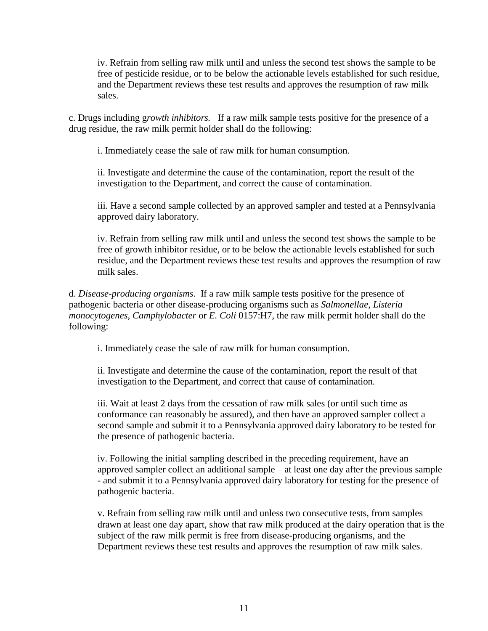iv. Refrain from selling raw milk until and unless the second test shows the sample to be free of pesticide residue, or to be below the actionable levels established for such residue, and the Department reviews these test results and approves the resumption of raw milk sales.

c. Drugs including g*rowth inhibitors.* If a raw milk sample tests positive for the presence of a drug residue, the raw milk permit holder shall do the following:

i. Immediately cease the sale of raw milk for human consumption.

ii. Investigate and determine the cause of the contamination, report the result of the investigation to the Department, and correct the cause of contamination.

iii. Have a second sample collected by an approved sampler and tested at a Pennsylvania approved dairy laboratory.

iv. Refrain from selling raw milk until and unless the second test shows the sample to be free of growth inhibitor residue, or to be below the actionable levels established for such residue, and the Department reviews these test results and approves the resumption of raw milk sales.

d. *Disease-producing organisms*. If a raw milk sample tests positive for the presence of pathogenic bacteria or other disease-producing organisms such as *Salmonellae, Listeria monocytogenes, Camphylobacter* or *E. Coli* 0157:H7, the raw milk permit holder shall do the following:

i. Immediately cease the sale of raw milk for human consumption.

ii. Investigate and determine the cause of the contamination, report the result of that investigation to the Department, and correct that cause of contamination.

iii. Wait at least 2 days from the cessation of raw milk sales (or until such time as conformance can reasonably be assured), and then have an approved sampler collect a second sample and submit it to a Pennsylvania approved dairy laboratory to be tested for the presence of pathogenic bacteria.

iv. Following the initial sampling described in the preceding requirement, have an approved sampler collect an additional sample – at least one day after the previous sample - and submit it to a Pennsylvania approved dairy laboratory for testing for the presence of pathogenic bacteria.

v. Refrain from selling raw milk until and unless two consecutive tests, from samples drawn at least one day apart, show that raw milk produced at the dairy operation that is the subject of the raw milk permit is free from disease-producing organisms, and the Department reviews these test results and approves the resumption of raw milk sales.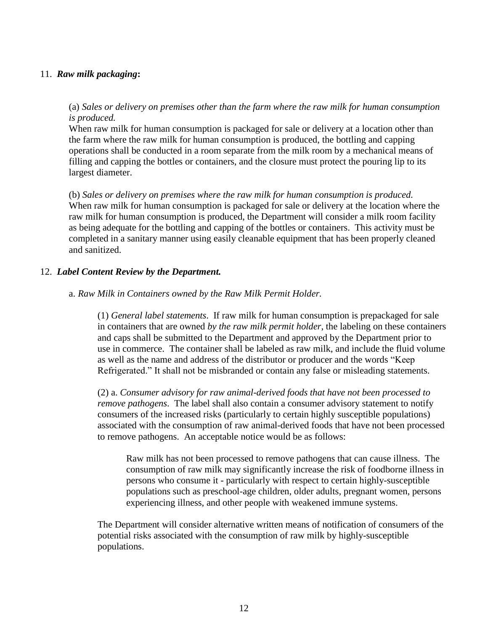## 11. *Raw milk packaging***:**

(a) *Sales or delivery on premises other than the farm where the raw milk for human consumption is produced.*

When raw milk for human consumption is packaged for sale or delivery at a location other than the farm where the raw milk for human consumption is produced, the bottling and capping operations shall be conducted in a room separate from the milk room by a mechanical means of filling and capping the bottles or containers, and the closure must protect the pouring lip to its largest diameter.

(b) *Sales or delivery on premises where the raw milk for human consumption is produced.* When raw milk for human consumption is packaged for sale or delivery at the location where the raw milk for human consumption is produced, the Department will consider a milk room facility as being adequate for the bottling and capping of the bottles or containers. This activity must be completed in a sanitary manner using easily cleanable equipment that has been properly cleaned and sanitized.

## 12. *Label Content Review by the Department.*

#### a. *Raw Milk in Containers owned by the Raw Milk Permit Holder.*

(1) *General label statements*. If raw milk for human consumption is prepackaged for sale in containers that are owned *by the raw milk permit holder*, the labeling on these containers and caps shall be submitted to the Department and approved by the Department prior to use in commerce. The container shall be labeled as raw milk, and include the fluid volume as well as the name and address of the distributor or producer and the words "Keep Refrigerated." It shall not be misbranded or contain any false or misleading statements.

(2) a. *Consumer advisory for raw animal-derived foods that have not been processed to remove pathogens*. The label shall also contain a consumer advisory statement to notify consumers of the increased risks (particularly to certain highly susceptible populations) associated with the consumption of raw animal-derived foods that have not been processed to remove pathogens. An acceptable notice would be as follows:

Raw milk has not been processed to remove pathogens that can cause illness. The consumption of raw milk may significantly increase the risk of foodborne illness in persons who consume it - particularly with respect to certain highly-susceptible populations such as preschool-age children, older adults, pregnant women, persons experiencing illness, and other people with weakened immune systems.

The Department will consider alternative written means of notification of consumers of the potential risks associated with the consumption of raw milk by highly-susceptible populations.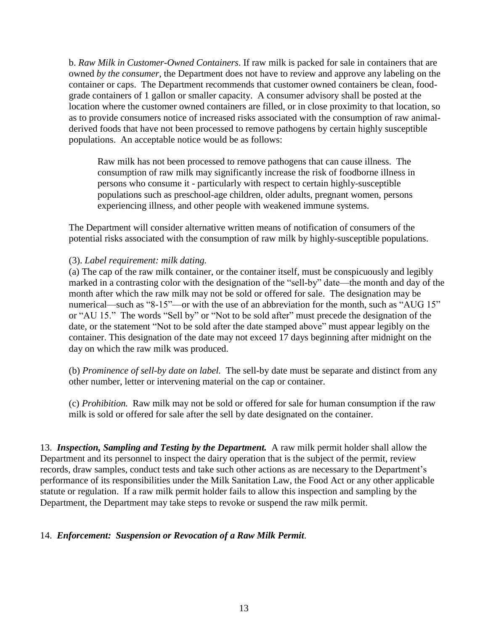b. *Raw Milk in Customer-Owned Containers*. If raw milk is packed for sale in containers that are owned *by the consumer*, the Department does not have to review and approve any labeling on the container or caps. The Department recommends that customer owned containers be clean, foodgrade containers of 1 gallon or smaller capacity. A consumer advisory shall be posted at the location where the customer owned containers are filled, or in close proximity to that location, so as to provide consumers notice of increased risks associated with the consumption of raw animalderived foods that have not been processed to remove pathogens by certain highly susceptible populations. An acceptable notice would be as follows:

Raw milk has not been processed to remove pathogens that can cause illness. The consumption of raw milk may significantly increase the risk of foodborne illness in persons who consume it - particularly with respect to certain highly-susceptible populations such as preschool-age children, older adults, pregnant women, persons experiencing illness, and other people with weakened immune systems.

The Department will consider alternative written means of notification of consumers of the potential risks associated with the consumption of raw milk by highly-susceptible populations.

## (3). *Label requirement: milk dating.*

(a) The cap of the raw milk container, or the container itself, must be conspicuously and legibly marked in a contrasting color with the designation of the "sell-by" date—the month and day of the month after which the raw milk may not be sold or offered for sale. The designation may be numerical—such as "8-15"—or with the use of an abbreviation for the month, such as "AUG 15" or "AU 15." The words "Sell by" or "Not to be sold after" must precede the designation of the date, or the statement "Not to be sold after the date stamped above" must appear legibly on the container. This designation of the date may not exceed 17 days beginning after midnight on the day on which the raw milk was produced.

(b) *Prominence of sell-by date on label.* The sell-by date must be separate and distinct from any other number, letter or intervening material on the cap or container.

(c) *Prohibition.* Raw milk may not be sold or offered for sale for human consumption if the raw milk is sold or offered for sale after the sell by date designated on the container.

13. *Inspection, Sampling and Testing by the Department.* A raw milk permit holder shall allow the Department and its personnel to inspect the dairy operation that is the subject of the permit, review records, draw samples, conduct tests and take such other actions as are necessary to the Department's performance of its responsibilities under the Milk Sanitation Law, the Food Act or any other applicable statute or regulation. If a raw milk permit holder fails to allow this inspection and sampling by the Department, the Department may take steps to revoke or suspend the raw milk permit.

## 14. *Enforcement: Suspension or Revocation of a Raw Milk Permit*.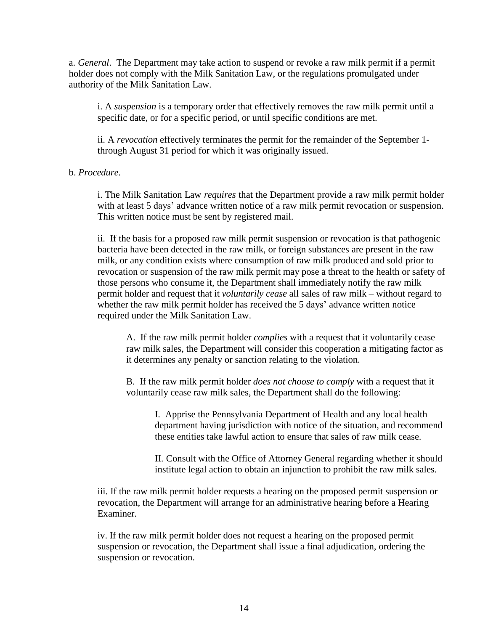a. *General*. The Department may take action to suspend or revoke a raw milk permit if a permit holder does not comply with the Milk Sanitation Law, or the regulations promulgated under authority of the Milk Sanitation Law.

i. A *suspension* is a temporary order that effectively removes the raw milk permit until a specific date, or for a specific period, or until specific conditions are met.

ii. A *revocation* effectively terminates the permit for the remainder of the September 1 through August 31 period for which it was originally issued.

#### b. *Procedure*.

i. The Milk Sanitation Law *requires* that the Department provide a raw milk permit holder with at least 5 days' advance written notice of a raw milk permit revocation or suspension. This written notice must be sent by registered mail.

ii. If the basis for a proposed raw milk permit suspension or revocation is that pathogenic bacteria have been detected in the raw milk, or foreign substances are present in the raw milk, or any condition exists where consumption of raw milk produced and sold prior to revocation or suspension of the raw milk permit may pose a threat to the health or safety of those persons who consume it, the Department shall immediately notify the raw milk permit holder and request that it *voluntarily cease* all sales of raw milk – without regard to whether the raw milk permit holder has received the 5 days' advance written notice required under the Milk Sanitation Law.

A. If the raw milk permit holder *complies* with a request that it voluntarily cease raw milk sales, the Department will consider this cooperation a mitigating factor as it determines any penalty or sanction relating to the violation.

B. If the raw milk permit holder *does not choose to comply* with a request that it voluntarily cease raw milk sales, the Department shall do the following:

I. Apprise the Pennsylvania Department of Health and any local health department having jurisdiction with notice of the situation, and recommend these entities take lawful action to ensure that sales of raw milk cease.

II. Consult with the Office of Attorney General regarding whether it should institute legal action to obtain an injunction to prohibit the raw milk sales.

iii. If the raw milk permit holder requests a hearing on the proposed permit suspension or revocation, the Department will arrange for an administrative hearing before a Hearing Examiner.

iv. If the raw milk permit holder does not request a hearing on the proposed permit suspension or revocation, the Department shall issue a final adjudication, ordering the suspension or revocation.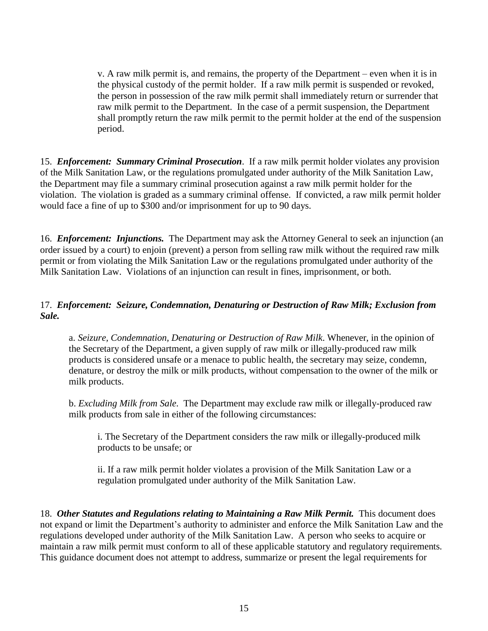v. A raw milk permit is, and remains, the property of the Department – even when it is in the physical custody of the permit holder. If a raw milk permit is suspended or revoked, the person in possession of the raw milk permit shall immediately return or surrender that raw milk permit to the Department. In the case of a permit suspension, the Department shall promptly return the raw milk permit to the permit holder at the end of the suspension period.

15. *Enforcement: Summary Criminal Prosecution*. If a raw milk permit holder violates any provision of the Milk Sanitation Law, or the regulations promulgated under authority of the Milk Sanitation Law, the Department may file a summary criminal prosecution against a raw milk permit holder for the violation. The violation is graded as a summary criminal offense. If convicted, a raw milk permit holder would face a fine of up to \$300 and/or imprisonment for up to 90 days.

16. *Enforcement: Injunctions.* The Department may ask the Attorney General to seek an injunction (an order issued by a court) to enjoin (prevent) a person from selling raw milk without the required raw milk permit or from violating the Milk Sanitation Law or the regulations promulgated under authority of the Milk Sanitation Law. Violations of an injunction can result in fines, imprisonment, or both.

## 17. *Enforcement: Seizure, Condemnation, Denaturing or Destruction of Raw Milk; Exclusion from Sale.*

a. *Seizure, Condemnation, Denaturing or Destruction of Raw Milk*. Whenever, in the opinion of the Secretary of the Department, a given supply of raw milk or illegally-produced raw milk products is considered unsafe or a menace to public health, the secretary may seize, condemn, denature, or destroy the milk or milk products, without compensation to the owner of the milk or milk products.

b. *Excluding Milk from Sale*. The Department may exclude raw milk or illegally-produced raw milk products from sale in either of the following circumstances:

i. The Secretary of the Department considers the raw milk or illegally-produced milk products to be unsafe; or

ii. If a raw milk permit holder violates a provision of the Milk Sanitation Law or a regulation promulgated under authority of the Milk Sanitation Law.

18. *Other Statutes and Regulations relating to Maintaining a Raw Milk Permit.* This document does not expand or limit the Department's authority to administer and enforce the Milk Sanitation Law and the regulations developed under authority of the Milk Sanitation Law. A person who seeks to acquire or maintain a raw milk permit must conform to all of these applicable statutory and regulatory requirements. This guidance document does not attempt to address, summarize or present the legal requirements for